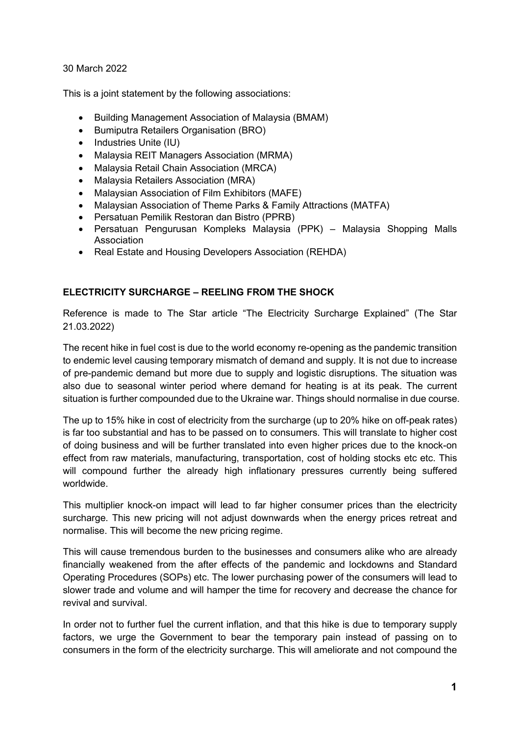30 March 2022

This is a joint statement by the following associations:

- Building Management Association of Malaysia (BMAM)
- **•** Bumiputra Retailers Organisation (BRO)
- Industries Unite (IU)
- Malaysia REIT Managers Association (MRMA)
- Malaysia Retail Chain Association (MRCA)
- Malaysia Retailers Association (MRA)
- Malaysian Association of Film Exhibitors (MAFE)
- Malaysian Association of Theme Parks & Family Attractions (MATFA)
- Persatuan Pemilik Restoran dan Bistro (PPRB)
- Persatuan Pengurusan Kompleks Malaysia (PPK) Malaysia Shopping Malls Association
- Real Estate and Housing Developers Association (REHDA)

## ELECTRICITY SURCHARGE – REELING FROM THE SHOCK

Reference is made to The Star article "The Electricity Surcharge Explained" (The Star 21.03.2022)

The recent hike in fuel cost is due to the world economy re-opening as the pandemic transition to endemic level causing temporary mismatch of demand and supply. It is not due to increase of pre-pandemic demand but more due to supply and logistic disruptions. The situation was also due to seasonal winter period where demand for heating is at its peak. The current situation is further compounded due to the Ukraine war. Things should normalise in due course.

The up to 15% hike in cost of electricity from the surcharge (up to 20% hike on off-peak rates) is far too substantial and has to be passed on to consumers. This will translate to higher cost of doing business and will be further translated into even higher prices due to the knock-on effect from raw materials, manufacturing, transportation, cost of holding stocks etc etc. This will compound further the already high inflationary pressures currently being suffered worldwide.

This multiplier knock-on impact will lead to far higher consumer prices than the electricity surcharge. This new pricing will not adjust downwards when the energy prices retreat and normalise. This will become the new pricing regime.

This will cause tremendous burden to the businesses and consumers alike who are already financially weakened from the after effects of the pandemic and lockdowns and Standard Operating Procedures (SOPs) etc. The lower purchasing power of the consumers will lead to slower trade and volume and will hamper the time for recovery and decrease the chance for revival and survival.

In order not to further fuel the current inflation, and that this hike is due to temporary supply factors, we urge the Government to bear the temporary pain instead of passing on to consumers in the form of the electricity surcharge. This will ameliorate and not compound the